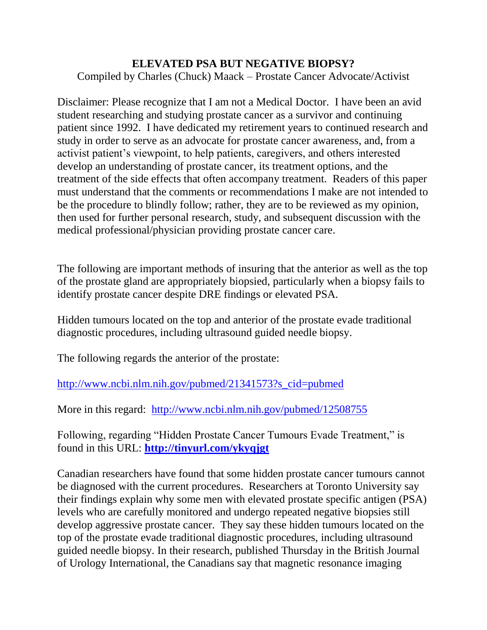## **ELEVATED PSA BUT NEGATIVE BIOPSY?**

Compiled by Charles (Chuck) Maack – Prostate Cancer Advocate/Activist

Disclaimer: Please recognize that I am not a Medical Doctor. I have been an avid student researching and studying prostate cancer as a survivor and continuing patient since 1992. I have dedicated my retirement years to continued research and study in order to serve as an advocate for prostate cancer awareness, and, from a activist patient"s viewpoint, to help patients, caregivers, and others interested develop an understanding of prostate cancer, its treatment options, and the treatment of the side effects that often accompany treatment. Readers of this paper must understand that the comments or recommendations I make are not intended to be the procedure to blindly follow; rather, they are to be reviewed as my opinion, then used for further personal research, study, and subsequent discussion with the medical professional/physician providing prostate cancer care.

The following are important methods of insuring that the anterior as well as the top of the prostate gland are appropriately biopsied, particularly when a biopsy fails to identify prostate cancer despite DRE findings or elevated PSA.

Hidden tumours located on the top and anterior of the prostate evade traditional diagnostic procedures, including ultrasound guided needle biopsy.

The following regards the anterior of the prostate:

[http://www.ncbi.nlm.nih.gov/pubmed/21341573?s\\_cid=pubmed](http://www.ncbi.nlm.nih.gov/pubmed/21341573?s_cid=pubmed)

More in this regard: <http://www.ncbi.nlm.nih.gov/pubmed/12508755>

Following, regarding "Hidden Prostate Cancer Tumours Evade Treatment," is found in this URL: **<http://tinyurl.com/ykyqjgt>**

Canadian researchers have found that some hidden prostate cancer tumours cannot be diagnosed with the current procedures. Researchers at Toronto University say their findings explain why some men with elevated prostate specific antigen (PSA) levels who are carefully monitored and undergo repeated negative biopsies still develop aggressive prostate cancer. They say these hidden tumours located on the top of the prostate evade traditional diagnostic procedures, including ultrasound guided needle biopsy. In their research, published Thursday in the British Journal of Urology International, the Canadians say that magnetic resonance imaging